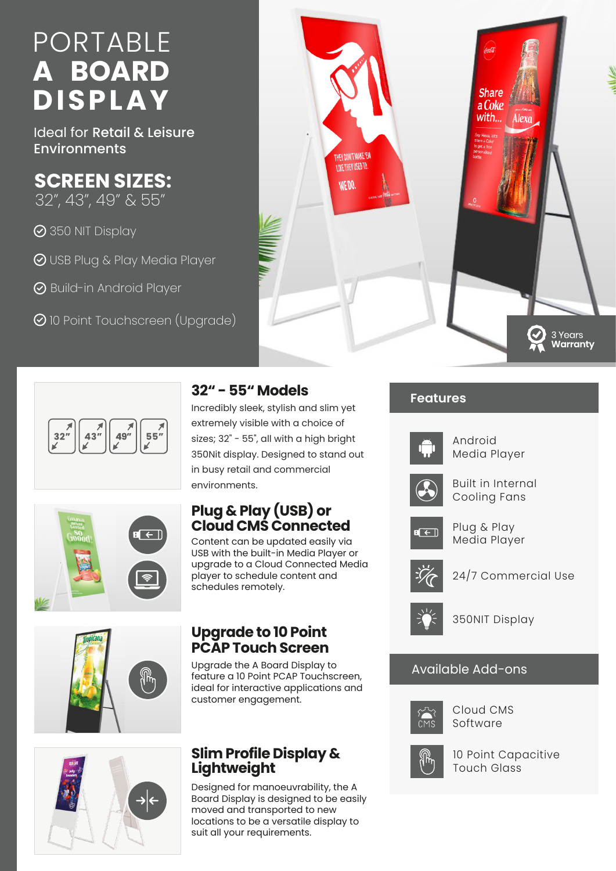# PORTABLE **A BOARD DISPLAY**

Ideal for Retail & Leisure Environments

## **SCREEN SIZES:**

32", 43", 49" & 55"

350 NIT Display

- USB Plug & Play Media Player
- **⊘** Build-in Android Player
- **⊘** 10 Point Touchscreen (Upgrade)







#### **32" - 55" Models**

Incredibly sleek, stylish and slim yet extremely visible with a choice of sizes; 32" - 55", all with a high bright 350Nit display. Designed to stand out in busy retail and commercial environments.

### **Plug & Play (USB) or Cloud CMS Connected**

Content can be updated easily via USB with the built-in Media Player or upgrade to a Cloud Connected Media player to schedule content and schedules remotely.

#### **Upgrade to 10 Point PCAP Touch Screen**

Upgrade the A Board Display to feature a 10 Point PCAP Touchscreen, ideal for interactive applications and customer engagement.

#### **Slim Profile Display & Lightweight**

Designed for manoeuvrability, the A Board Display is designed to be easily moved and transported to new locations to be a versatile display to suit all your requirements.

#### **Features**



Android Media Player



Built in Internal Cooling Fans



Plug & Play Media Player



24/7 Commercial Use



350NIT Display

#### Available Add-ons



Cloud CMS Software



10 Point Capacitive Touch Glass